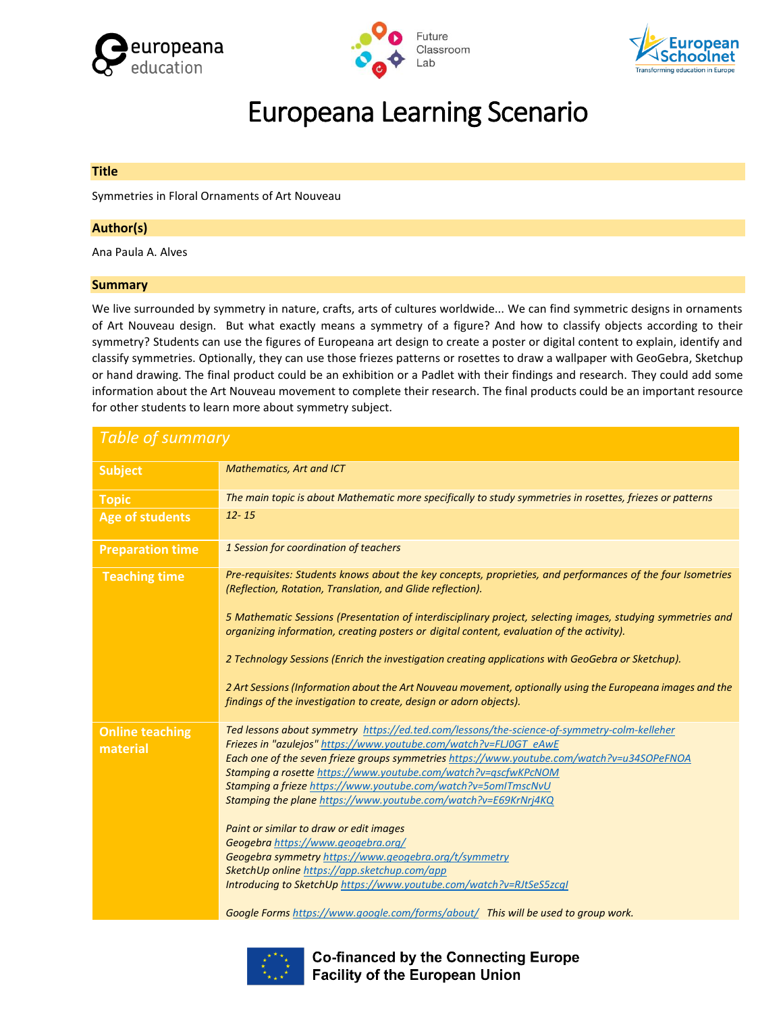





# Europeana Learning Scenario

## **Title**

Symmetries in Floral Ornaments of Art Nouveau

## **Author(s)**

Ana Paula A. Alves

## **Summary**

We live surrounded by symmetry in nature, crafts, arts of cultures worldwide... We can find symmetric designs in ornaments of Art Nouveau design. But what exactly means a symmetry of a figure? And how to classify objects according to their symmetry? Students can use the figures of Europeana art design to create a poster or digital content to explain, identify and classify symmetries. Optionally, they can use those friezes patterns or rosettes to draw a wallpaper with GeoGebra, Sketchup or hand drawing. The final product could be an exhibition or a Padlet with their findings and research. They could add some information about the Art Nouveau movement to complete their research. The final products could be an important resource for other students to learn more about symmetry subject.

| <b>Table of summary</b>            |                                                                                                                                                                                                                                                                                                                                                                                                                                                                                                                                                                                                                                                                                                                                      |  |  |  |  |  |  |
|------------------------------------|--------------------------------------------------------------------------------------------------------------------------------------------------------------------------------------------------------------------------------------------------------------------------------------------------------------------------------------------------------------------------------------------------------------------------------------------------------------------------------------------------------------------------------------------------------------------------------------------------------------------------------------------------------------------------------------------------------------------------------------|--|--|--|--|--|--|
| <b>Subject</b>                     | <b>Mathematics, Art and ICT</b>                                                                                                                                                                                                                                                                                                                                                                                                                                                                                                                                                                                                                                                                                                      |  |  |  |  |  |  |
| <b>Topic</b>                       | The main topic is about Mathematic more specifically to study symmetries in rosettes, friezes or patterns                                                                                                                                                                                                                                                                                                                                                                                                                                                                                                                                                                                                                            |  |  |  |  |  |  |
| <b>Age of students</b>             | $12 - 15$                                                                                                                                                                                                                                                                                                                                                                                                                                                                                                                                                                                                                                                                                                                            |  |  |  |  |  |  |
| <b>Preparation time</b>            | 1 Session for coordination of teachers                                                                                                                                                                                                                                                                                                                                                                                                                                                                                                                                                                                                                                                                                               |  |  |  |  |  |  |
| <b>Teaching time</b>               | Pre-requisites: Students knows about the key concepts, proprieties, and performances of the four Isometries<br>(Reflection, Rotation, Translation, and Glide reflection).                                                                                                                                                                                                                                                                                                                                                                                                                                                                                                                                                            |  |  |  |  |  |  |
|                                    | 5 Mathematic Sessions (Presentation of interdisciplinary project, selecting images, studying symmetries and<br>organizing information, creating posters or digital content, evaluation of the activity).                                                                                                                                                                                                                                                                                                                                                                                                                                                                                                                             |  |  |  |  |  |  |
|                                    | 2 Technology Sessions (Enrich the investigation creating applications with GeoGebra or Sketchup).                                                                                                                                                                                                                                                                                                                                                                                                                                                                                                                                                                                                                                    |  |  |  |  |  |  |
|                                    | 2 Art Sessions (Information about the Art Nouveau movement, optionally using the Europeana images and the<br>findings of the investigation to create, design or adorn objects).                                                                                                                                                                                                                                                                                                                                                                                                                                                                                                                                                      |  |  |  |  |  |  |
| <b>Online teaching</b><br>material | Ted lessons about symmetry https://ed.ted.com/lessons/the-science-of-symmetry-colm-kelleher<br>Friezes in "azulejos" https://www.youtube.com/watch?v=FLJ0GT_eAwE<br>Each one of the seven frieze groups symmetries https://www.youtube.com/watch?v=u34SOPeFNOA<br>Stamping a rosette https://www.youtube.com/watch?v=qscfwKPcNOM<br>Stamping a frieze https://www.youtube.com/watch?v=5omITmscNvU<br>Stamping the plane https://www.youtube.com/watch?v=E69KrNrj4KQ<br>Paint or similar to draw or edit images<br>Geogebra https://www.geogebra.org/<br>Geogebra symmetry https://www.geogebra.org/t/symmetry<br>SketchUp online https://app.sketchup.com/app<br>Introducing to SketchUp https://www.youtube.com/watch?v=RJtSeS5zcgI |  |  |  |  |  |  |
|                                    | Google Forms https://www.google.com/forms/about/ This will be used to group work.                                                                                                                                                                                                                                                                                                                                                                                                                                                                                                                                                                                                                                                    |  |  |  |  |  |  |



**Co-financed by the Connecting Europe Facility of the European Union**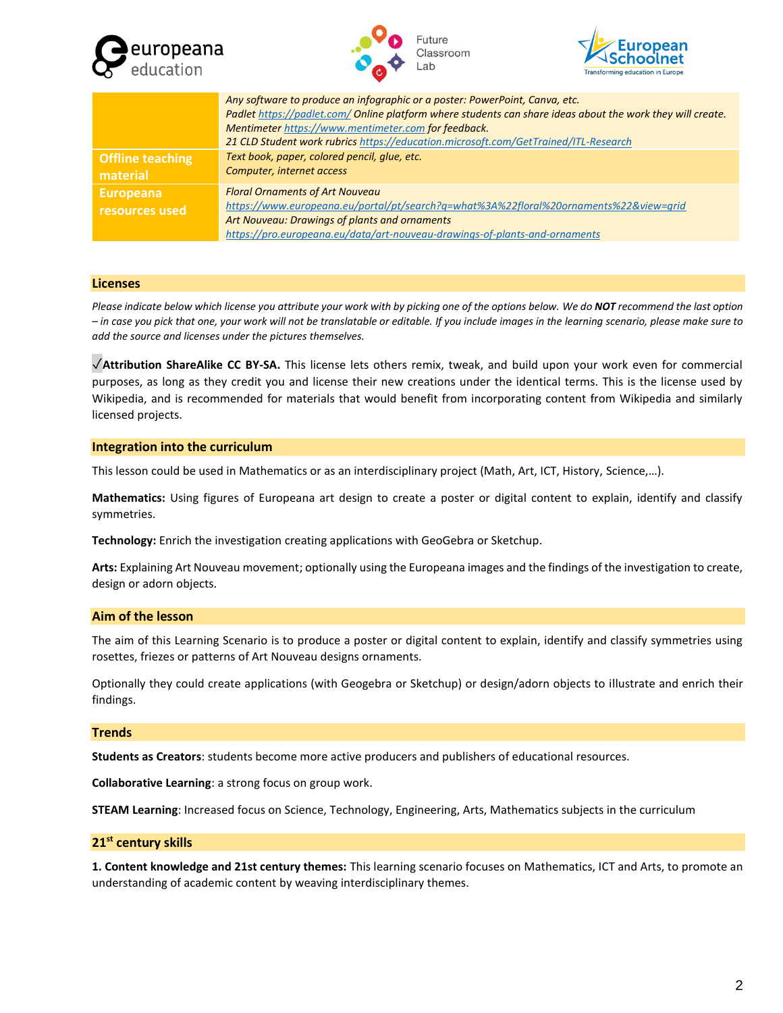





|                                     | Any software to produce an infographic or a poster: PowerPoint, Canva, etc.<br>Padlet https://padlet.com/ Online platform where students can share ideas about the work they will create.<br>Mentimeter https://www.mentimeter.com for feedback.<br>21 CLD Student work rubrics https://education.microsoft.com/GetTrained/ITL-Research |
|-------------------------------------|-----------------------------------------------------------------------------------------------------------------------------------------------------------------------------------------------------------------------------------------------------------------------------------------------------------------------------------------|
| <b>Offline teaching</b><br>material | Text book, paper, colored pencil, glue, etc.<br>Computer, internet access                                                                                                                                                                                                                                                               |
| <b>Europeana</b><br>resources used  | <b>Floral Ornaments of Art Nouveau</b><br>https://www.europeana.eu/portal/pt/search?q=what%3A%22floral%20ornaments%22&view=grid<br>Art Nouveau: Drawings of plants and ornaments<br>https://pro.europeana.eu/data/art-nouveau-drawings-of-plants-and-ornaments                                                                          |

## **Licenses**

*Please indicate below which license you attribute your work with by picking one of the options below. We do NOT recommend the last option – in case you pick that one, your work will not be translatable or editable. If you include images in the learning scenario, please make sure to add the source and licenses under the pictures themselves.*

✓**Attribution ShareAlike CC BY-SA.** This license lets others remix, tweak, and build upon your work even for commercial purposes, as long as they credit you and license their new creations under the identical terms. This is the license used by Wikipedia, and is recommended for materials that would benefit from incorporating content from Wikipedia and similarly licensed projects.

## **Integration into the curriculum**

This lesson could be used in Mathematics or as an interdisciplinary project (Math, Art, ICT, History, Science,…).

**Mathematics:** Using figures of Europeana art design to create a poster or digital content to explain, identify and classify symmetries.

**Technology:** Enrich the investigation creating applications with GeoGebra or Sketchup.

**Arts:** Explaining Art Nouveau movement; optionally using the Europeana images and the findings of the investigation to create, design or adorn objects.

## **Aim of the lesson**

The aim of this Learning Scenario is to produce a poster or digital content to explain, identify and classify symmetries using rosettes, friezes or patterns of Art Nouveau designs ornaments.

Optionally they could create applications (with Geogebra or Sketchup) or design/adorn objects to illustrate and enrich their findings.

## **Trends**

**Students as Creators**: students become more active producers and publishers of educational resources.

**Collaborative Learning**: a strong focus on group work.

**STEAM Learning**: Increased focus on Science, Technology, Engineering, Arts, Mathematics subjects in the curriculum

## **21st century skills**

**1. Content knowledge and 21st century themes:** This learning scenario focuses on Mathematics, ICT and Arts, to promote an understanding of academic content by weaving interdisciplinary themes.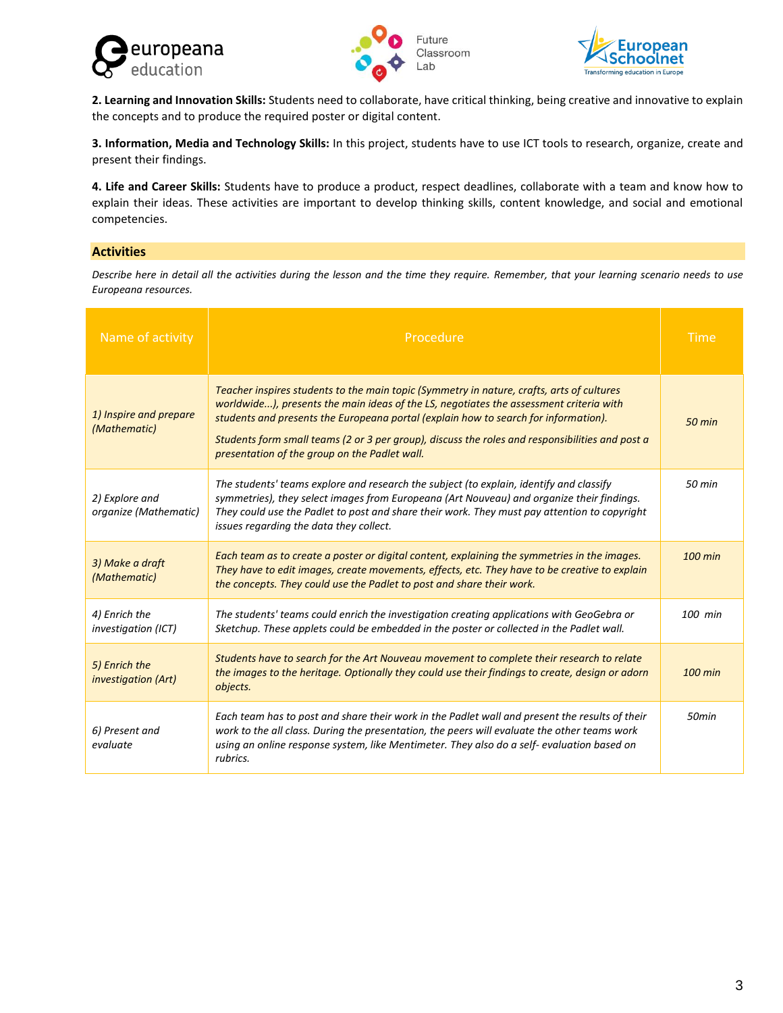





**2. Learning and Innovation Skills:** Students need to collaborate, have critical thinking, being creative and innovative to explain the concepts and to produce the required poster or digital content.

**3. Information, Media and Technology Skills:** In this project, students have to use ICT tools to research, organize, create and present their findings.

**4. Life and Career Skills:** Students have to produce a product, respect deadlines, collaborate with a team and know how to explain their ideas. These activities are important to develop thinking skills, content knowledge, and social and emotional competencies.

## **Activities**

*Describe here in detail all the activities during the lesson and the time they require. Remember, that your learning scenario needs to use Europeana resources.*

| Name of activity                            | Procedure                                                                                                                                                                                                                                                                                                                                                                                                                      |                   |  |  |  |
|---------------------------------------------|--------------------------------------------------------------------------------------------------------------------------------------------------------------------------------------------------------------------------------------------------------------------------------------------------------------------------------------------------------------------------------------------------------------------------------|-------------------|--|--|--|
| 1) Inspire and prepare<br>(Mathematic)      | Teacher inspires students to the main topic (Symmetry in nature, crafts, arts of cultures<br>worldwide), presents the main ideas of the LS, negotiates the assessment criteria with<br>students and presents the Europeana portal (explain how to search for information).<br>Students form small teams (2 or 3 per group), discuss the roles and responsibilities and post a<br>presentation of the group on the Padlet wall. |                   |  |  |  |
| 2) Explore and<br>organize (Mathematic)     | The students' teams explore and research the subject (to explain, identify and classify<br>symmetries), they select images from Europeana (Art Nouveau) and organize their findings.<br>They could use the Padlet to post and share their work. They must pay attention to copyright<br>issues regarding the data they collect.                                                                                                | 50 min            |  |  |  |
| 3) Make a draft<br>(Mathematic)             | Each team as to create a poster or digital content, explaining the symmetries in the images.<br>They have to edit images, create movements, effects, etc. They have to be creative to explain<br>the concepts. They could use the Padlet to post and share their work.                                                                                                                                                         |                   |  |  |  |
| 4) Enrich the<br><i>investigation (ICT)</i> | The students' teams could enrich the investigation creating applications with GeoGebra or<br>Sketchup. These applets could be embedded in the poster or collected in the Padlet wall.                                                                                                                                                                                                                                          | 100 min           |  |  |  |
| 5) Enrich the<br><i>investigation (Art)</i> | Students have to search for the Art Nouveau movement to complete their research to relate<br>the images to the heritage. Optionally they could use their findings to create, design or adorn<br>objects.                                                                                                                                                                                                                       |                   |  |  |  |
| 6) Present and<br>evaluate                  | Each team has to post and share their work in the Padlet wall and present the results of their<br>work to the all class. During the presentation, the peers will evaluate the other teams work<br>using an online response system, like Mentimeter. They also do a self-evaluation based on<br>rubrics.                                                                                                                        | 50 <sub>min</sub> |  |  |  |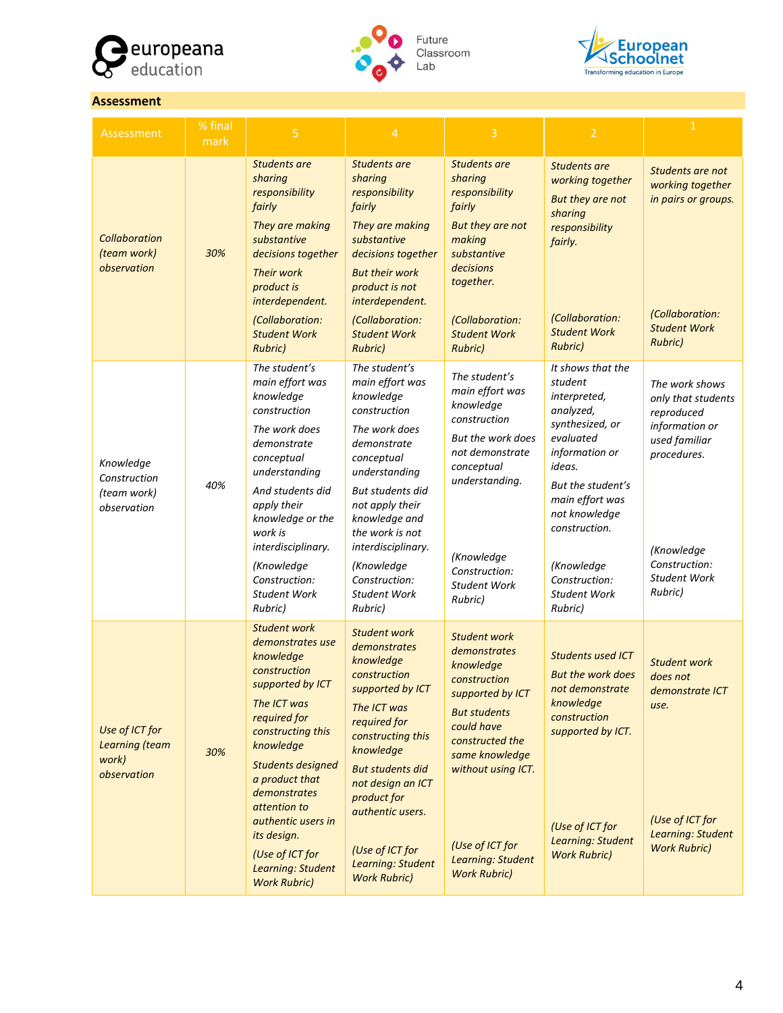



Future Classroom



## **Assessment**

| Assessment                                               | % final<br>mark | 5                                                                                                                                                                                                                                                                                                                                           | $\overline{4}$                                                                                                                                                                                                                                                                                                 | $\overline{3}$                                                                                                                                                                                                                                      | $\overline{2}$                                                                                                                                                                                                                                                   | $\mathbf{1}$                                                                                                                                                          |
|----------------------------------------------------------|-----------------|---------------------------------------------------------------------------------------------------------------------------------------------------------------------------------------------------------------------------------------------------------------------------------------------------------------------------------------------|----------------------------------------------------------------------------------------------------------------------------------------------------------------------------------------------------------------------------------------------------------------------------------------------------------------|-----------------------------------------------------------------------------------------------------------------------------------------------------------------------------------------------------------------------------------------------------|------------------------------------------------------------------------------------------------------------------------------------------------------------------------------------------------------------------------------------------------------------------|-----------------------------------------------------------------------------------------------------------------------------------------------------------------------|
| <b>Collaboration</b><br>(team work)<br>observation       | 30%             | Students are<br>sharing<br>responsibility<br>fairly<br>They are making<br>substantive<br>decisions together<br><b>Their work</b><br>product is<br>interdependent.<br>(Collaboration:<br><b>Student Work</b><br><b>Rubric)</b>                                                                                                               | Students are<br>sharing<br>responsibility<br>fairly<br>They are making<br>substantive<br>decisions together<br><b>But their work</b><br>product is not<br>interdependent.<br>(Collaboration:<br><b>Student Work</b><br><b>Rubric)</b>                                                                          | Students are<br>sharing<br>responsibility<br>fairly<br>But they are not<br>making<br>substantive<br>decisions<br>together.<br>(Collaboration:<br><b>Student Work</b><br><b>Rubric)</b>                                                              | Students are<br>working together<br>But they are not<br>sharing<br>responsibility<br>fairly.<br>(Collaboration:<br><b>Student Work</b><br><b>Rubric)</b>                                                                                                         | Students are not<br>working together<br>in pairs or groups.<br>(Collaboration:<br><b>Student Work</b><br><b>Rubric)</b>                                               |
| Knowledge<br>Construction<br>(team work)<br>observation  | 40%             | The student's<br>main effort was<br>knowledge<br>construction<br>The work does<br>demonstrate<br>conceptual<br>understanding<br>And students did<br>apply their<br>knowledge or the<br>work is<br>interdisciplinary.<br>(Knowledge<br>Construction:<br><b>Student Work</b><br>Rubric)                                                       | The student's<br>main effort was<br>knowledge<br>construction<br>The work does<br>demonstrate<br>conceptual<br>understanding<br>But students did<br>not apply their<br>knowledge and<br>the work is not<br>interdisciplinary.<br>(Knowledge<br>Construction:<br><b>Student Work</b><br>Rubric)                 | The student's<br>main effort was<br>knowledge<br>construction<br>But the work does<br>not demonstrate<br>conceptual<br>understanding.<br>(Knowledge<br>Construction:<br><b>Student Work</b><br>Rubric)                                              | It shows that the<br>student<br>interpreted,<br>analyzed,<br>synthesized, or<br>evaluated<br>information or<br>ideas.<br>But the student's<br>main effort was<br>not knowledge<br>construction.<br>(Knowledge<br>Construction:<br><b>Student Work</b><br>Rubric) | The work shows<br>only that students<br>reproduced<br>information or<br>used familiar<br>procedures.<br>(Knowledge<br>Construction:<br><b>Student Work</b><br>Rubric) |
| Use of ICT for<br>Learning (team<br>work)<br>observation | 30%             | <b>Student work</b><br>demonstrates use<br>knowledge<br>construction<br>supported by ICT<br>The ICT was<br>required for<br>constructing this<br>knowledge<br><b>Students designed</b><br>a product that<br>demonstrates<br>attention to<br>authentic users in<br>its design.<br>(Use of ICT for<br>Learning: Student<br><b>Work Rubric)</b> | <b>Student work</b><br>demonstrates<br>knowledge<br>construction<br>supported by ICT<br>The ICT was<br>required for<br>constructing this<br>knowledge<br><b>But students did</b><br>not design an ICT<br>product for<br>authentic users.<br>(Use of ICT for<br><b>Learning: Student</b><br><b>Work Rubric)</b> | <b>Student work</b><br>demonstrates<br>knowledge<br>construction<br>supported by ICT<br><b>But students</b><br>could have<br>constructed the<br>same knowledge<br>without using ICT.<br>(Use of ICT for<br>Learning: Student<br><b>Work Rubric)</b> | <b>Students used ICT</b><br><b>But the work does</b><br>not demonstrate<br>knowledge<br>construction<br>supported by ICT.<br>(Use of ICT for<br>Learning: Student<br><b>Work Rubric)</b>                                                                         | <b>Student work</b><br>does not<br>demonstrate ICT<br>use.<br>(Use of ICT for<br>Learning: Student<br><b>Work Rubric)</b>                                             |